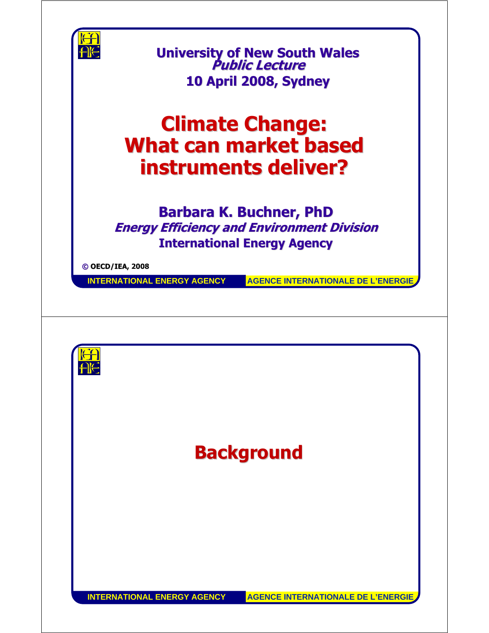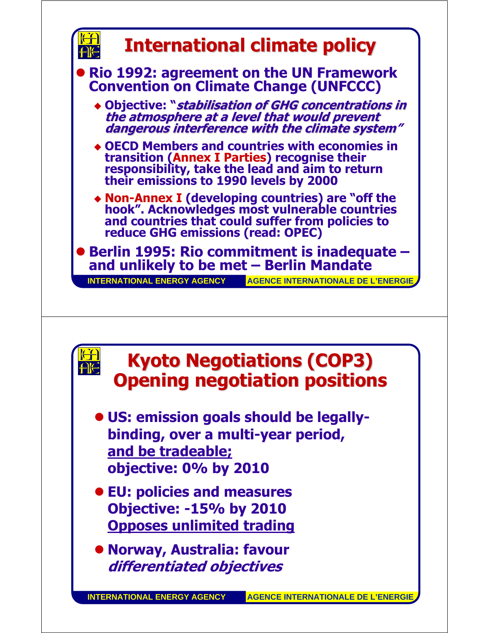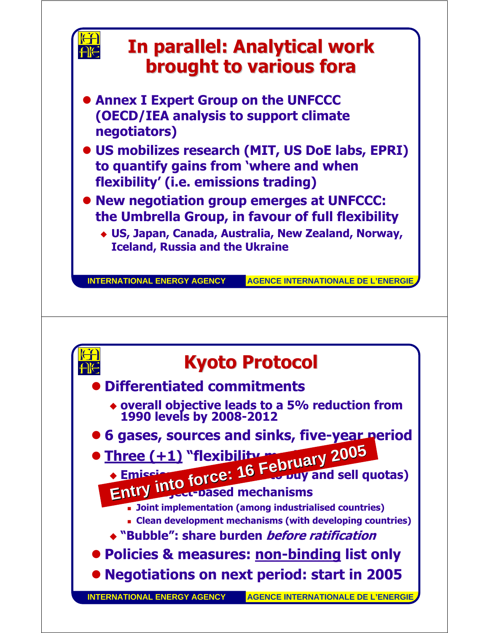

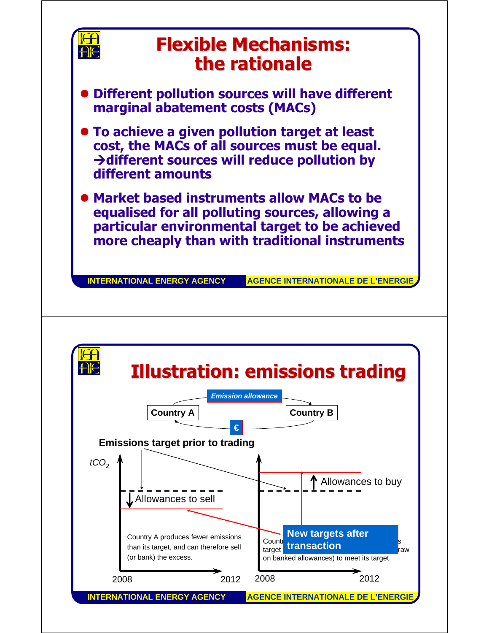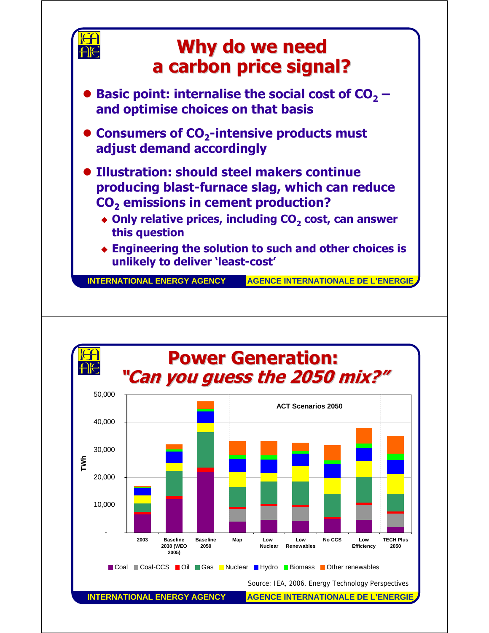

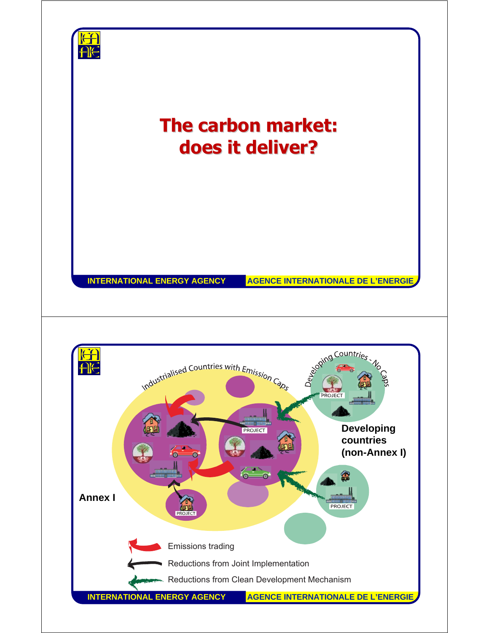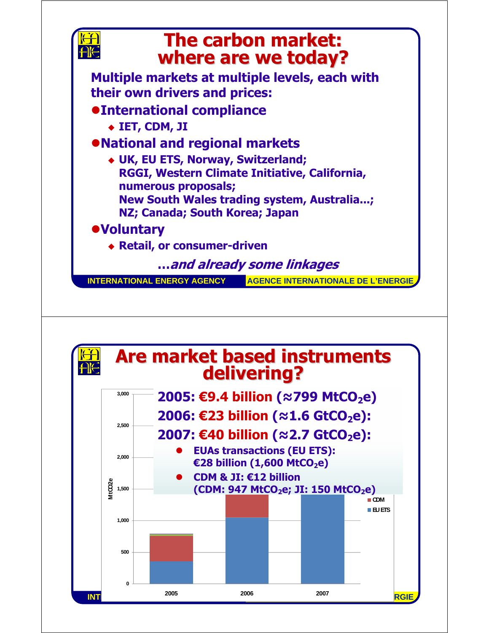

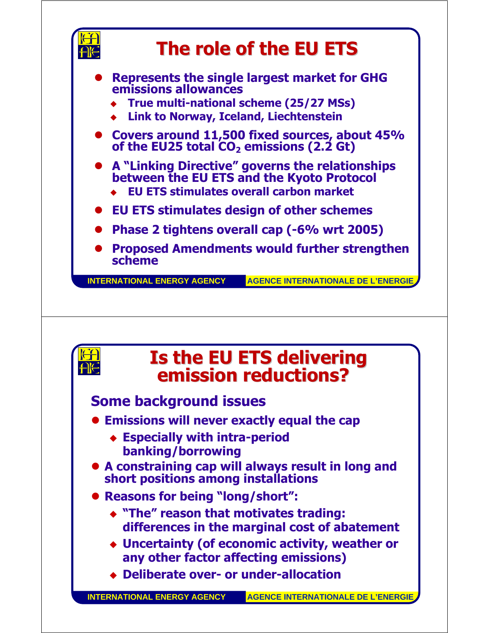



## **Some background issues**

HIG

- **Emissions will never exactly equal the cap** 
	- **Especially with intra-period banking/borrowing**
- **A constraining cap will always result in long and short positions among installations**
- z **Reasons for being "long/short":**
	- **"The" reason that motivates trading: differences in the marginal cost of abatement**
	- **Uncertainty (of economic activity, weather or any other factor affecting emissions)**
	- **Deliberate over- or under-allocation**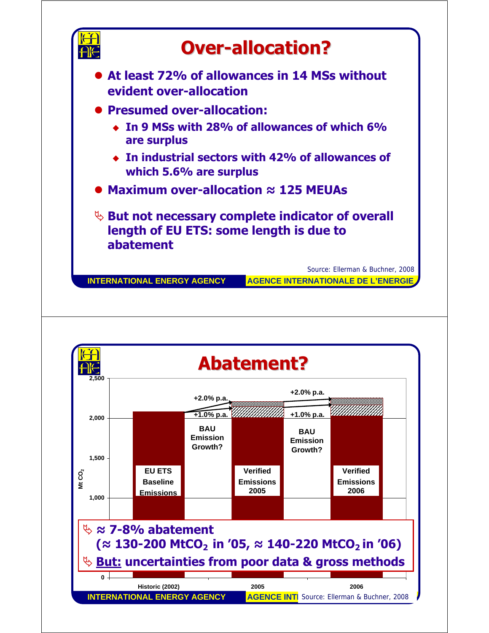

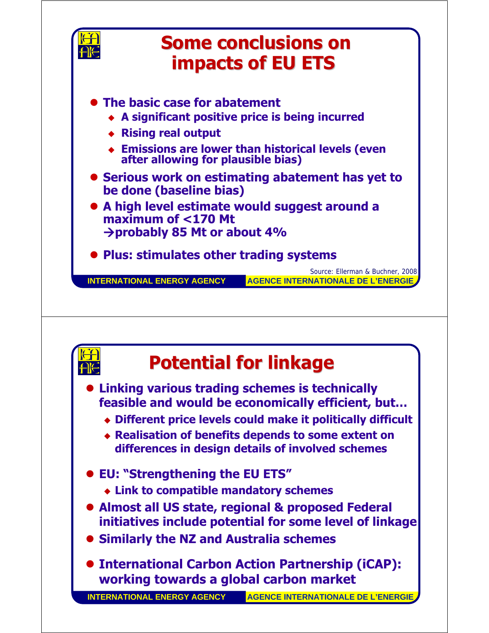



## **Potential for linkage Potential for linkage**

**• Linking various trading schemes is technically feasible and would be economically efficient, but…**

- **Different price levels could make it politically difficult**
- **Realisation of benefits depends to some extent on differences in design details of involved schemes**
- z **EU: "Strengthening the EU ETS"**
	- **Link to compatible mandatory schemes**
- **Almost all US state, regional & proposed Federal initiatives include potential for some level of linkage**
- **Similarly the NZ and Australia schemes**
- **International Carbon Action Partnership (iCAP): working towards a global carbon market**

**INTERNATIONAL ENERGY AGENCY AGENCE INTERNATIONALE DE L'ENERGIE**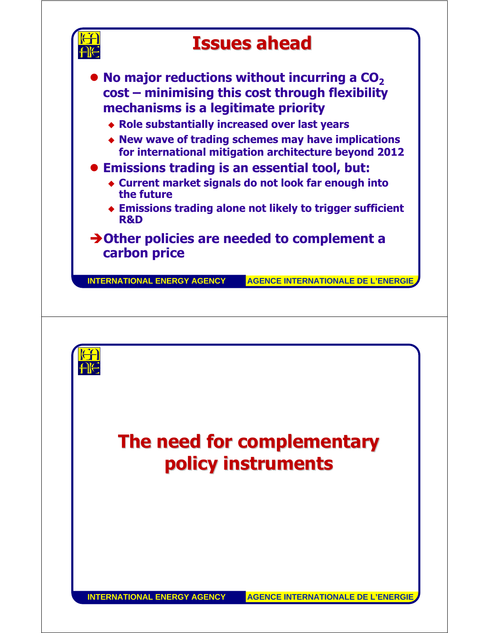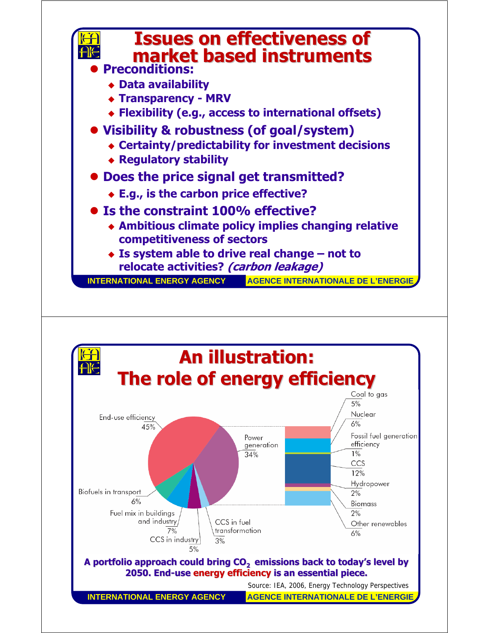

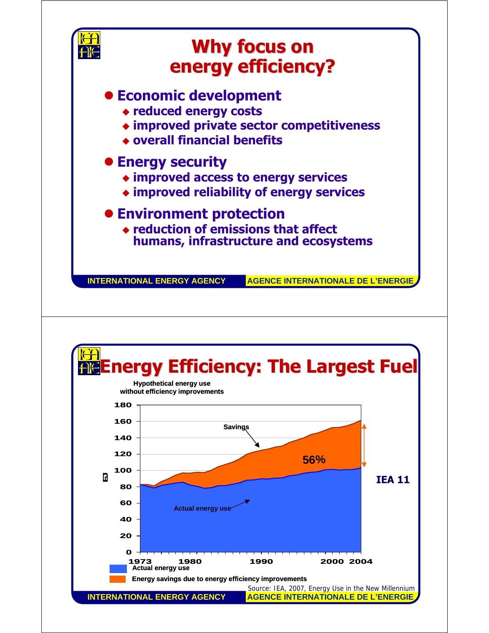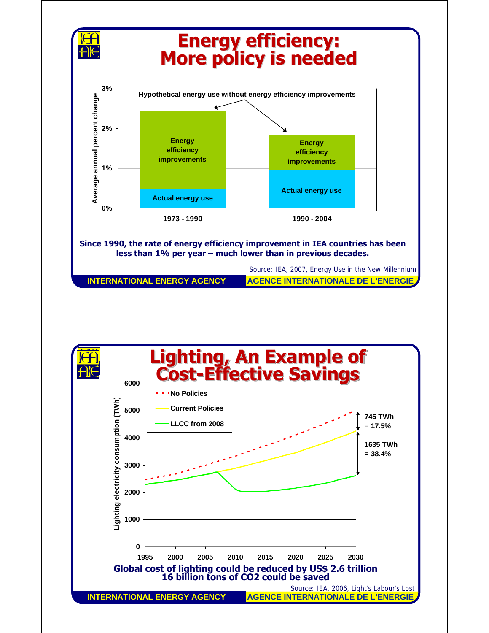

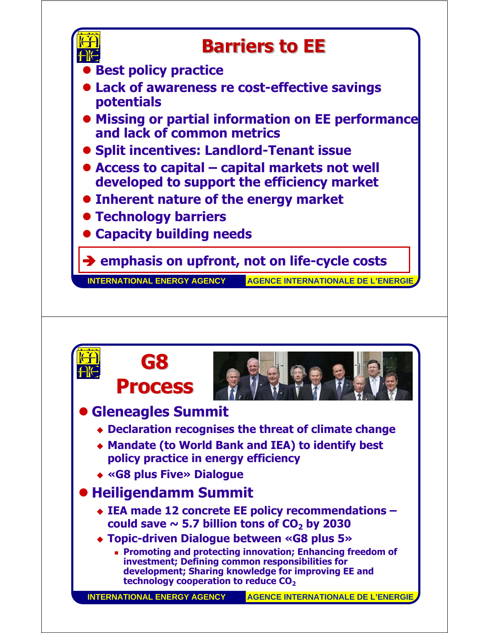

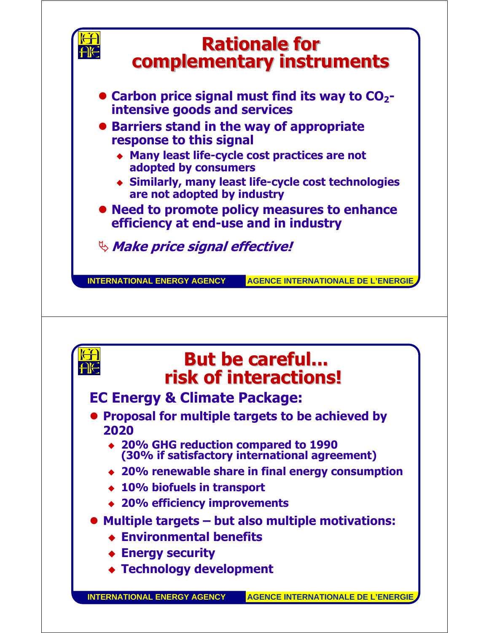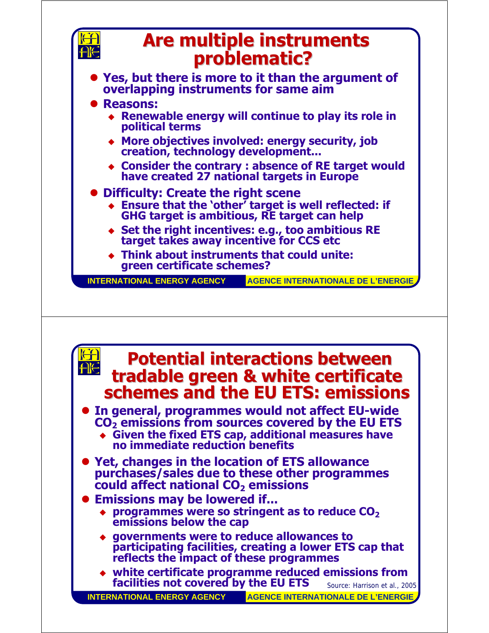

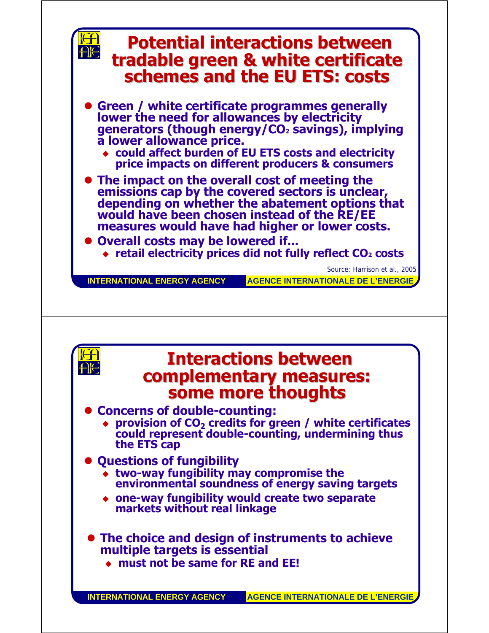

**must not be same for RE and EE!**